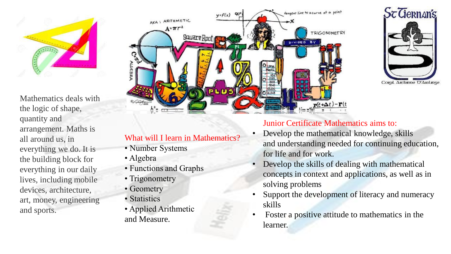

Mathematics deals with the logic of shape, quantity and arrangement. Maths is all around us, in everything we do. It is the building block for everything in our daily lives, including mobile devices, architecture, art, money, engineering and sports.





# What will I learn in Mathematics?

- Number Systems
- Algebra
- Functions and Graphs
- Trigonometry
- Geometry
- Statistics
- Applied Arithmetic and Measure.

# Junior Certificate Mathematics aims to:

- Develop the mathematical knowledge, skills and understanding needed for continuing education, for life and for work.
- Develop the skills of dealing with mathematical concepts in context and applications, as well as in solving problems
- Support the development of literacy and numeracy skills
- Foster a positive attitude to mathematics in the learner.